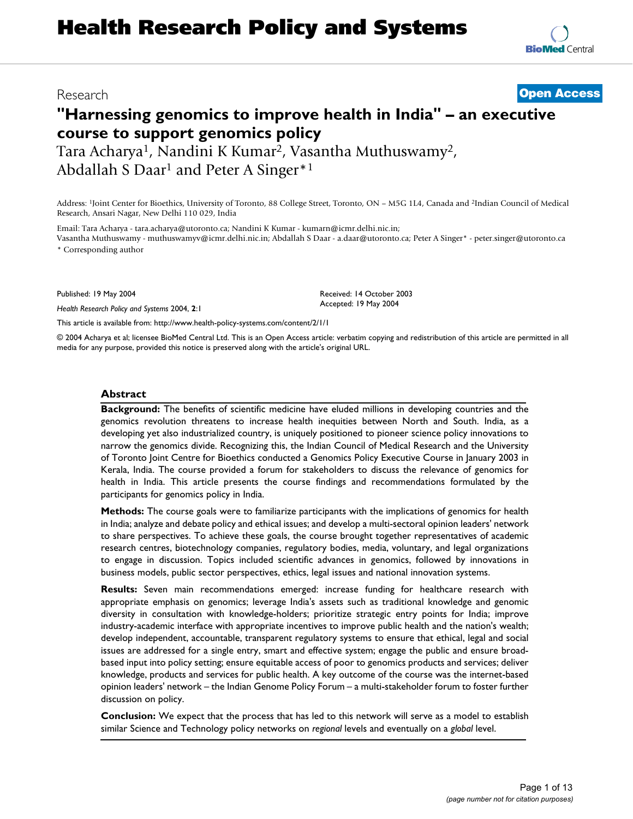## Research **[Open Access](http://www.biomedcentral.com/info/about/charter/)**

# **"Harnessing genomics to improve health in India" – an executive course to support genomics policy**

Tara Acharya1, Nandini K Kumar2, Vasantha Muthuswamy2, Abdallah S Daar1 and Peter A Singer\*1

Address: 1Joint Center for Bioethics, University of Toronto, 88 College Street, Toronto, ON – M5G 1L4, Canada and 2Indian Council of Medical Research, Ansari Nagar, New Delhi 110 029, India

Email: Tara Acharya - tara.acharya@utoronto.ca; Nandini K Kumar - kumarn@icmr.delhi.nic.in;

Vasantha Muthuswamy - muthuswamyv@icmr.delhi.nic.in; Abdallah S Daar - a.daar@utoronto.ca; Peter A Singer\* - peter.singer@utoronto.ca \* Corresponding author

Published: 19 May 2004

*Health Research Policy and Systems* 2004, **2**:1

[This article is available from: http://www.health-policy-systems.com/content/2/1/1](http://www.health-policy-systems.com/content/2/1/1)

© 2004 Acharya et al; licensee BioMed Central Ltd. This is an Open Access article: verbatim copying and redistribution of this article are permitted in all media for any purpose, provided this notice is preserved along with the article's original URL.

#### **Abstract**

**Background:** The benefits of scientific medicine have eluded millions in developing countries and the genomics revolution threatens to increase health inequities between North and South. India, as a developing yet also industrialized country, is uniquely positioned to pioneer science policy innovations to narrow the genomics divide. Recognizing this, the Indian Council of Medical Research and the University of Toronto Joint Centre for Bioethics conducted a Genomics Policy Executive Course in January 2003 in Kerala, India. The course provided a forum for stakeholders to discuss the relevance of genomics for health in India. This article presents the course findings and recommendations formulated by the participants for genomics policy in India.

**Methods:** The course goals were to familiarize participants with the implications of genomics for health in India; analyze and debate policy and ethical issues; and develop a multi-sectoral opinion leaders' network to share perspectives. To achieve these goals, the course brought together representatives of academic research centres, biotechnology companies, regulatory bodies, media, voluntary, and legal organizations to engage in discussion. Topics included scientific advances in genomics, followed by innovations in business models, public sector perspectives, ethics, legal issues and national innovation systems.

**Results:** Seven main recommendations emerged: increase funding for healthcare research with appropriate emphasis on genomics; leverage India's assets such as traditional knowledge and genomic diversity in consultation with knowledge-holders; prioritize strategic entry points for India; improve industry-academic interface with appropriate incentives to improve public health and the nation's wealth; develop independent, accountable, transparent regulatory systems to ensure that ethical, legal and social issues are addressed for a single entry, smart and effective system; engage the public and ensure broadbased input into policy setting; ensure equitable access of poor to genomics products and services; deliver knowledge, products and services for public health. A key outcome of the course was the internet-based opinion leaders' network – the Indian Genome Policy Forum – a multi-stakeholder forum to foster further discussion on policy.

**Conclusion:** We expect that the process that has led to this network will serve as a model to establish similar Science and Technology policy networks on *regional* levels and eventually on a *global* level.

Received: 14 October 2003 Accepted: 19 May 2004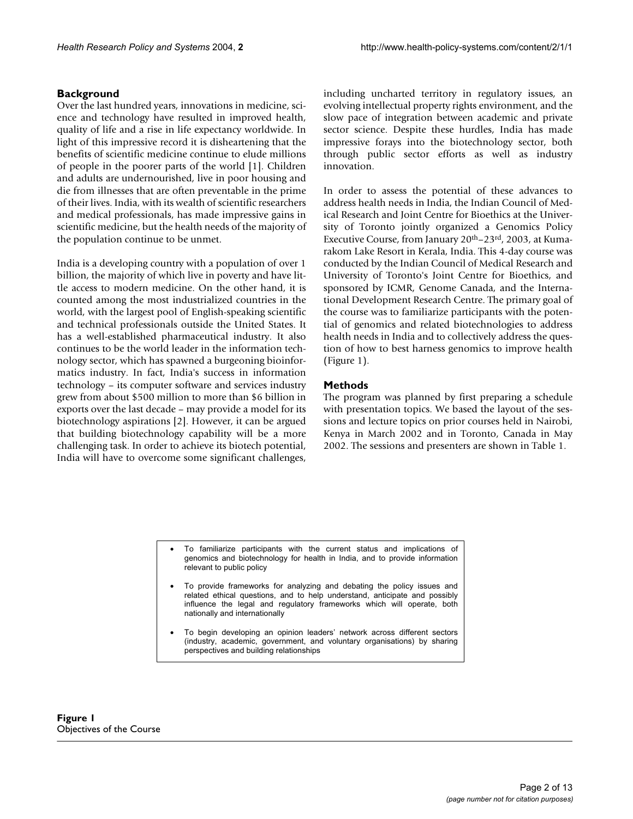## **Background**

Over the last hundred years, innovations in medicine, science and technology have resulted in improved health, quality of life and a rise in life expectancy worldwide. In light of this impressive record it is disheartening that the benefits of scientific medicine continue to elude millions of people in the poorer parts of the world [1]. Children and adults are undernourished, live in poor housing and die from illnesses that are often preventable in the prime of their lives. India, with its wealth of scientific researchers and medical professionals, has made impressive gains in scientific medicine, but the health needs of the majority of the population continue to be unmet.

India is a developing country with a population of over 1 billion, the majority of which live in poverty and have little access to modern medicine. On the other hand, it is counted among the most industrialized countries in the world, with the largest pool of English-speaking scientific and technical professionals outside the United States. It has a well-established pharmaceutical industry. It also continues to be the world leader in the information technology sector, which has spawned a burgeoning bioinformatics industry. In fact, India's success in information technology – its computer software and services industry grew from about \$500 million to more than \$6 billion in exports over the last decade – may provide a model for its biotechnology aspirations [\[2\]](#page-11-0). However, it can be argued that building biotechnology capability will be a more challenging task. In order to achieve its biotech potential, India will have to overcome some significant challenges,

including uncharted territory in regulatory issues, an evolving intellectual property rights environment, and the slow pace of integration between academic and private sector science. Despite these hurdles, India has made impressive forays into the biotechnology sector, both through public sector efforts as well as industry innovation.

In order to assess the potential of these advances to address health needs in India, the Indian Council of Medical Research and Joint Centre for Bioethics at the University of Toronto jointly organized a Genomics Policy Executive Course, from January 20th–23rd, 2003, at Kumarakom Lake Resort in Kerala, India. This 4-day course was conducted by the Indian Council of Medical Research and University of Toronto's Joint Centre for Bioethics, and sponsored by ICMR, Genome Canada, and the International Development Research Centre. The primary goal of the course was to familiarize participants with the potential of genomics and related biotechnologies to address health needs in India and to collectively address the question of how to best harness genomics to improve health (Figure 1).

## **Methods**

The program was planned by first preparing a schedule with presentation topics. We based the layout of the sessions and lecture topics on prior courses held in Nairobi, Kenya in March 2002 and in Toronto, Canada in May 2002. The sessions and presenters are shown in Table [1.](#page-2-0)

- To familiarize participants with the current status and implications of genomics and biotechnology for health in India, and to provide information relevant to public policy
- To provide frameworks for analyzing and debating the policy issues and related ethical questions, and to help understand, anticipate and possibly influence the legal and regulatory frameworks which will operate, both nationally and internationally
- To begin developing an opinion leaders' network across different sectors (industry, academic, government, and voluntary organisations) by sharing perspectives and building relationships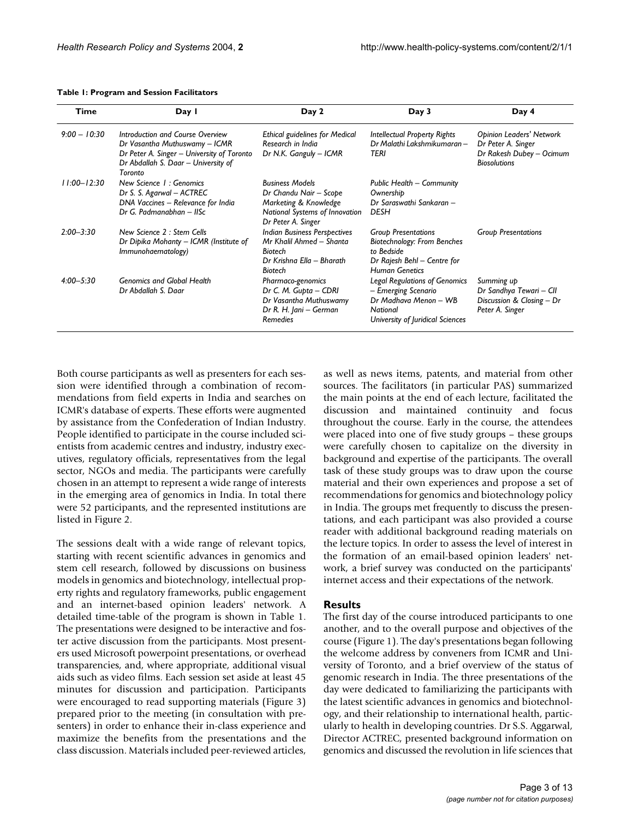| <b>Time</b>     | Day I                                                                                                                                                                    | Day 2                                                                                                                             | Day 3                                                                                                                                  | Day 4                                                                                                    |
|-----------------|--------------------------------------------------------------------------------------------------------------------------------------------------------------------------|-----------------------------------------------------------------------------------------------------------------------------------|----------------------------------------------------------------------------------------------------------------------------------------|----------------------------------------------------------------------------------------------------------|
| $9:00 - 10:30$  | Introduction and Course Overview<br>Dr Vasantha Muthuswamy - ICMR<br>Dr Peter A. Singer - University of Toronto<br>Dr Abdallah S. Daar - University of<br><b>Toronto</b> | <b>Ethical guidelines for Medical</b><br>Research in India<br>Dr N.K. Ganguly - ICMR                                              | <b>Intellectual Property Rights</b><br>Dr Malathi Lakshmikumaran -<br>TERI                                                             | <b>Opinion Leaders' Network</b><br>Dr Peter A. Singer<br>Dr Rakesh Dubey - Ocimum<br><b>Biosolutions</b> |
| $11:00 - 12:30$ | New Science 1 : Genomics<br>Dr S. S. Agarwal - ACTREC<br>DNA Vaccines - Relevance for India<br>Dr G. Padmanabhan – IISc                                                  | <b>Business Models</b><br>Dr Chandu Nair - Scope<br>Marketing & Knowledge<br>National Systems of Innovation<br>Dr Peter A. Singer | Public Health – Community<br>Ownership<br>Dr Saraswathi Sankaran –<br>DESH                                                             |                                                                                                          |
| $2:00 - 3:30$   | New Science 2 : Stem Cells<br>Dr Dipika Mohanty - ICMR (Institute of<br>Immunohaematology)                                                                               | <b>Indian Business Perspectives</b><br>Mr Khalil Ahmed - Shanta<br>Biotech<br>Dr Krishna Ella – Bharath<br>Biotech                | <b>Group Presentations</b><br><b>Biotechnology: From Benches</b><br>to Bedside<br>Dr Rajesh Behl - Centre for<br><b>Human Genetics</b> | <b>Group Presentations</b>                                                                               |
| $4:00 - 5:30$   | <b>Genomics and Global Health</b><br>Dr Abdallah S. Daar                                                                                                                 | Pharmaco-genomics<br>Dr C. M. Gupta - CDRI<br>Dr Vasantha Muthuswamy<br>Dr R. H. Jani - German<br><b>Remedies</b>                 | <b>Legal Regulations of Genomics</b><br>- Emerging Scenario<br>Dr Madhava Menon - WB<br>National<br>University of Juridical Sciences   | Summing up<br>Dr Sandhya Tewari - CII<br>Discussion & Closing $-$ Dr<br>Peter A. Singer                  |

#### <span id="page-2-0"></span>**Table 1: Program and Session Facilitators**

Both course participants as well as presenters for each session were identified through a combination of recommendations from field experts in India and searches on ICMR's database of experts. These efforts were augmented by assistance from the Confederation of Indian Industry. People identified to participate in the course included scientists from academic centres and industry, industry executives, regulatory officials, representatives from the legal sector, NGOs and media. The participants were carefully chosen in an attempt to represent a wide range of interests in the emerging area of genomics in India. In total there were 52 participants, and the represented institutions are listed in Figure [2](#page-3-0).

The sessions dealt with a wide range of relevant topics, starting with recent scientific advances in genomics and stem cell research, followed by discussions on business models in genomics and biotechnology, intellectual property rights and regulatory frameworks, public engagement and an internet-based opinion leaders' network. A detailed time-table of the program is shown in Table [1.](#page-2-0) The presentations were designed to be interactive and foster active discussion from the participants. Most presenters used Microsoft powerpoint presentations, or overhead transparencies, and, where appropriate, additional visual aids such as video films. Each session set aside at least 45 minutes for discussion and participation. Participants were encouraged to read supporting materials (Figure 3) prepared prior to the meeting (in consultation with presenters) in order to enhance their in-class experience and maximize the benefits from the presentations and the class discussion. Materials included peer-reviewed articles,

as well as news items, patents, and material from other sources. The facilitators (in particular PAS) summarized the main points at the end of each lecture, facilitated the discussion and maintained continuity and focus throughout the course. Early in the course, the attendees were placed into one of five study groups – these groups were carefully chosen to capitalize on the diversity in background and expertise of the participants. The overall task of these study groups was to draw upon the course material and their own experiences and propose a set of recommendations for genomics and biotechnology policy in India. The groups met frequently to discuss the presentations, and each participant was also provided a course reader with additional background reading materials on the lecture topics. In order to assess the level of interest in the formation of an email-based opinion leaders' network, a brief survey was conducted on the participants' internet access and their expectations of the network.

#### **Results**

The first day of the course introduced participants to one another, and to the overall purpose and objectives of the course (Figure 1). The day's presentations began following the welcome address by conveners from ICMR and University of Toronto, and a brief overview of the status of genomic research in India. The three presentations of the day were dedicated to familiarizing the participants with the latest scientific advances in genomics and biotechnology, and their relationship to international health, particularly to health in developing countries. Dr S.S. Aggarwal, Director ACTREC, presented background information on genomics and discussed the revolution in life sciences that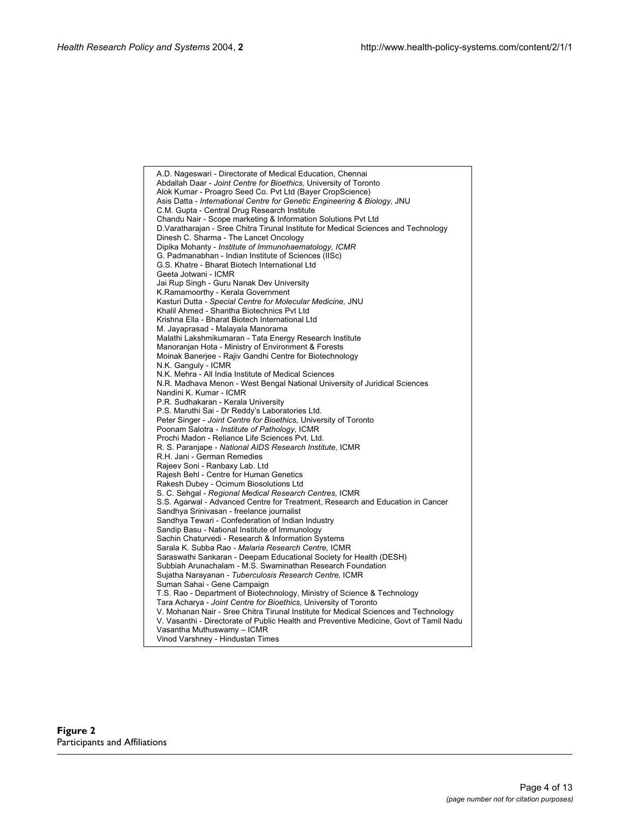<span id="page-3-0"></span>A.D. Nageswari - Directorate of Medical Education, Chennai Abdallah Daar - *Joint Centre for Bioethics,* University of Toronto Alok Kumar - Proagro Seed Co. Pvt Ltd (Bayer CropScience) Asis Datta *- International Centre for Genetic Engineering & Biology,* JNU C.M. Gupta - Central Drug Research Institute Chandu Nair - Scope marketing & Information Solutions Pvt Ltd D.Varatharajan - Sree Chitra Tirunal Institute for Medical Sciences and Technology Dinesh C. Sharma - The Lancet Oncology Dipika Mohanty *- Institute of Immunohaematology, ICMR* G. Padmanabhan - Indian Institute of Sciences (IISc) G.S. Khatre - Bharat Biotech International Ltd Geeta Jotwani - ICMR Jai Rup Singh - Guru Nanak Dev University K.Ramamoorthy - Kerala Government Kasturi Dutta *- Special Centre for Molecular Medicine,* JNU Khalil Ahmed - Shantha Biotechnics Pvt Ltd Krishna Ella - Bharat Biotech International Ltd M. Jayaprasad - Malayala Manorama Malathi Lakshmikumaran - Tata Energy Research Institute Manoranjan Hota - Ministry of Environment & Forests Moinak Banerjee - Rajiv Gandhi Centre for Biotechnology N.K. Ganguly - ICMR N.K. Mehra - All India Institute of Medical Sciences N.R. Madhava Menon - West Bengal National University of Juridical Sciences Nandini K. Kumar - ICMR P.R. Sudhakaran - Kerala University P.S. Maruthi Sai - Dr Reddy's Laboratories Ltd. Peter Singer - *Joint Centre for Bioethics,* University of Toronto Poonam Salotra *- Institute of Pathology,* ICMR Prochi Madon - Reliance Life Sciences Pvt. Ltd. R. S. Paranjape *- National AIDS Research Institute,* ICMR R.H. Jani - German Remedies Rajeev Soni - Ranbaxy Lab. Ltd Rajesh Behl - Centre for Human Genetics Rakesh Dubey - Ocimum Biosolutions Ltd S. C. Sehgal *- Regional Medical Research Centres,* ICMR S.S. Agarwal - Advanced Centre for Treatment, Research and Education in Cancer Sandhya Srinivasan - freelance journalist Sandhya Tewari - Confederation of Indian Industry Sandip Basu - National Institute of Immunology Sachin Chaturvedi - Research & Information Systems Sarala K. Subba Rao *- Malaria Research Centre,* ICMR Saraswathi Sankaran - Deepam Educational Society for Health (DESH) Subbiah Arunachalam - M.S. Swaminathan Research Foundation Sujatha Narayanan *- Tuberculosis Research Centre,* ICMR Suman Sahai - Gene Campaign T.S. Rao - Department of Biotechnology, Ministry of Science & Technology Tara Acharya - *Joint Centre for Bioethics,* University of Toronto V. Mohanan Nair - Sree Chitra Tirunal Institute for Medical Sciences and Technology V. Vasanthi - Directorate of Public Health and Preventive Medicine, Govt of Tamil Nadu Vasantha Muthuswamy – ICMR Vinod Varshney - Hindustan Times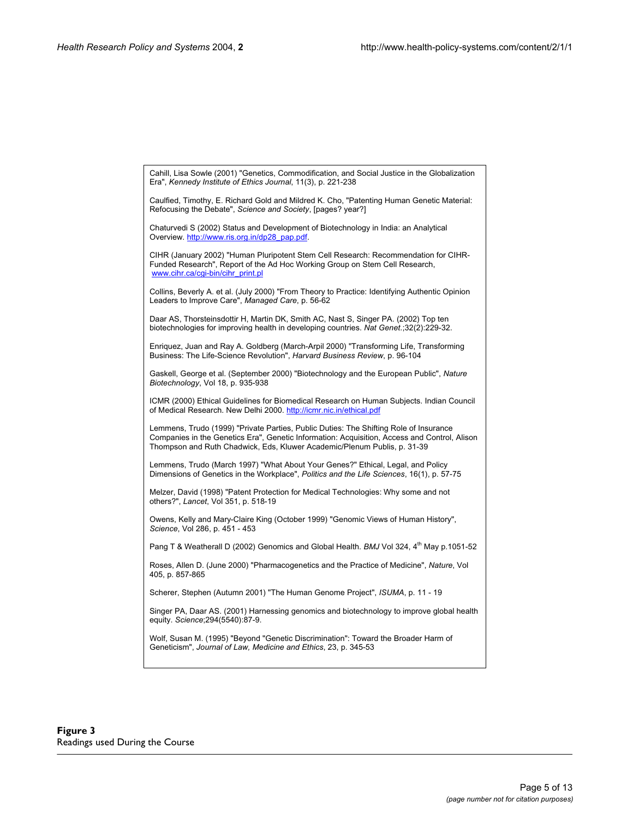| Cahill, Lisa Sowle (2001) "Genetics, Commodification, and Social Justice in the Globalization<br>Era", Kennedy Institute of Ethics Journal, 11(3), p. 221-238                                                                                                     |  |  |  |
|-------------------------------------------------------------------------------------------------------------------------------------------------------------------------------------------------------------------------------------------------------------------|--|--|--|
| Caulfied, Timothy, E. Richard Gold and Mildred K. Cho, "Patenting Human Genetic Material:<br>Refocusing the Debate", Science and Society, [pages? year?]                                                                                                          |  |  |  |
| Chaturvedi S (2002) Status and Development of Biotechnology in India: an Analytical<br>Overview. http://www.ris.org.in/dp28 pap.pdf                                                                                                                               |  |  |  |
| CIHR (January 2002) "Human Pluripotent Stem Cell Research: Recommendation for CIHR-<br>Funded Research", Report of the Ad Hoc Working Group on Stem Cell Research,<br>www.cihr.ca/cgi-bin/cihr_print.pl                                                           |  |  |  |
| Collins, Beverly A. et al. (July 2000) "From Theory to Practice: Identifying Authentic Opinion<br>Leaders to Improve Care", Managed Care, p. 56-62                                                                                                                |  |  |  |
| Daar AS, Thorsteinsdottir H, Martin DK, Smith AC, Nast S, Singer PA, (2002) Top ten<br>biotechnologies for improving health in developing countries. Nat Genet.;32(2):229-32.                                                                                     |  |  |  |
| Enriquez, Juan and Ray A. Goldberg (March-Arpil 2000) "Transforming Life, Transforming<br>Business: The Life-Science Revolution", Harvard Business Review, p. 96-104                                                                                              |  |  |  |
| Gaskell, George et al. (September 2000) "Biotechnology and the European Public", Nature<br>Biotechnology, Vol 18, p. 935-938                                                                                                                                      |  |  |  |
| ICMR (2000) Ethical Guidelines for Biomedical Research on Human Subjects. Indian Council<br>of Medical Research. New Delhi 2000. http://icmr.nic.in/ethical.pdf                                                                                                   |  |  |  |
| Lemmens, Trudo (1999) "Private Parties, Public Duties: The Shifting Role of Insurance<br>Companies in the Genetics Era", Genetic Information: Acquisition, Access and Control, Alison<br>Thompson and Ruth Chadwick, Eds, Kluwer Academic/Plenum Publis, p. 31-39 |  |  |  |
| Lemmens, Trudo (March 1997) "What About Your Genes?" Ethical, Legal, and Policy<br>Dimensions of Genetics in the Workplace", Politics and the Life Sciences, 16(1), p. 57-75                                                                                      |  |  |  |
| Melzer, David (1998) "Patent Protection for Medical Technologies: Why some and not<br>others?", Lancet, Vol 351, p. 518-19                                                                                                                                        |  |  |  |
| Owens, Kelly and Mary-Claire King (October 1999) "Genomic Views of Human History",<br>Science, Vol 286, p. 451 - 453                                                                                                                                              |  |  |  |
| Pang T & Weatherall D (2002) Genomics and Global Health. BMJ Vol 324, 4 <sup>th</sup> May p.1051-52                                                                                                                                                               |  |  |  |
| Roses, Allen D. (June 2000) "Pharmacogenetics and the Practice of Medicine", Nature, Vol<br>405, p. 857-865                                                                                                                                                       |  |  |  |
| Scherer, Stephen (Autumn 2001) "The Human Genome Project", ISUMA, p. 11 - 19                                                                                                                                                                                      |  |  |  |
| Singer PA, Daar AS. (2001) Harnessing genomics and biotechnology to improve global health<br>equity. Science; 294(5540): 87-9.                                                                                                                                    |  |  |  |
| Wolf, Susan M. (1995) "Beyond "Genetic Discrimination": Toward the Broader Harm of<br>Geneticism", Journal of Law, Medicine and Ethics, 23, p. 345-53                                                                                                             |  |  |  |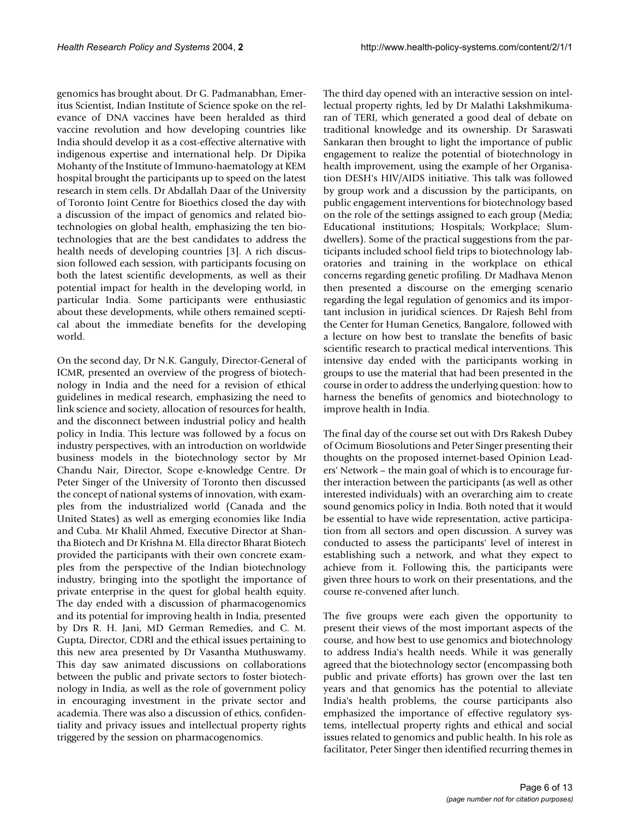genomics has brought about. Dr G. Padmanabhan, Emeritus Scientist, Indian Institute of Science spoke on the relevance of DNA vaccines have been heralded as third vaccine revolution and how developing countries like India should develop it as a cost-effective alternative with indigenous expertise and international help. Dr Dipika Mohanty of the Institute of Immuno-haematology at KEM hospital brought the participants up to speed on the latest research in stem cells. Dr Abdallah Daar of the University of Toronto Joint Centre for Bioethics closed the day with a discussion of the impact of genomics and related biotechnologies on global health, emphasizing the ten biotechnologies that are the best candidates to address the health needs of developing countries [3]. A rich discussion followed each session, with participants focusing on both the latest scientific developments, as well as their potential impact for health in the developing world, in particular India. Some participants were enthusiastic about these developments, while others remained sceptical about the immediate benefits for the developing world.

On the second day, Dr N.K. Ganguly, Director-General of ICMR, presented an overview of the progress of biotechnology in India and the need for a revision of ethical guidelines in medical research, emphasizing the need to link science and society, allocation of resources for health, and the disconnect between industrial policy and health policy in India. This lecture was followed by a focus on industry perspectives, with an introduction on worldwide business models in the biotechnology sector by Mr Chandu Nair, Director, Scope e-knowledge Centre. Dr Peter Singer of the University of Toronto then discussed the concept of national systems of innovation, with examples from the industrialized world (Canada and the United States) as well as emerging economies like India and Cuba. Mr Khalil Ahmed, Executive Director at Shantha Biotech and Dr Krishna M. Ella director Bharat Biotech provided the participants with their own concrete examples from the perspective of the Indian biotechnology industry, bringing into the spotlight the importance of private enterprise in the quest for global health equity. The day ended with a discussion of pharmacogenomics and its potential for improving health in India, presented by Drs R. H. Jani, MD German Remedies, and C. M. Gupta, Director, CDRI and the ethical issues pertaining to this new area presented by Dr Vasantha Muthuswamy. This day saw animated discussions on collaborations between the public and private sectors to foster biotechnology in India, as well as the role of government policy in encouraging investment in the private sector and academia. There was also a discussion of ethics, confidentiality and privacy issues and intellectual property rights triggered by the session on pharmacogenomics.

The third day opened with an interactive session on intellectual property rights, led by Dr Malathi Lakshmikumaran of TERI, which generated a good deal of debate on traditional knowledge and its ownership. Dr Saraswati Sankaran then brought to light the importance of public engagement to realize the potential of biotechnology in health improvement, using the example of her Organisation DESH's HIV/AIDS initiative. This talk was followed by group work and a discussion by the participants, on public engagement interventions for biotechnology based on the role of the settings assigned to each group (Media; Educational institutions; Hospitals; Workplace; Slumdwellers). Some of the practical suggestions from the participants included school field trips to biotechnology laboratories and training in the workplace on ethical concerns regarding genetic profiling. Dr Madhava Menon then presented a discourse on the emerging scenario regarding the legal regulation of genomics and its important inclusion in juridical sciences. Dr Rajesh Behl from the Center for Human Genetics, Bangalore, followed with a lecture on how best to translate the benefits of basic scientific research to practical medical interventions. This intensive day ended with the participants working in groups to use the material that had been presented in the course in order to address the underlying question: how to harness the benefits of genomics and biotechnology to improve health in India.

The final day of the course set out with Drs Rakesh Dubey of Ocimum Biosolutions and Peter Singer presenting their thoughts on the proposed internet-based Opinion Leaders' Network – the main goal of which is to encourage further interaction between the participants (as well as other interested individuals) with an overarching aim to create sound genomics policy in India. Both noted that it would be essential to have wide representation, active participation from all sectors and open discussion. A survey was conducted to assess the participants' level of interest in establishing such a network, and what they expect to achieve from it. Following this, the participants were given three hours to work on their presentations, and the course re-convened after lunch.

The five groups were each given the opportunity to present their views of the most important aspects of the course, and how best to use genomics and biotechnology to address India's health needs. While it was generally agreed that the biotechnology sector (encompassing both public and private efforts) has grown over the last ten years and that genomics has the potential to alleviate India's health problems, the course participants also emphasized the importance of effective regulatory systems, intellectual property rights and ethical and social issues related to genomics and public health. In his role as facilitator, Peter Singer then identified recurring themes in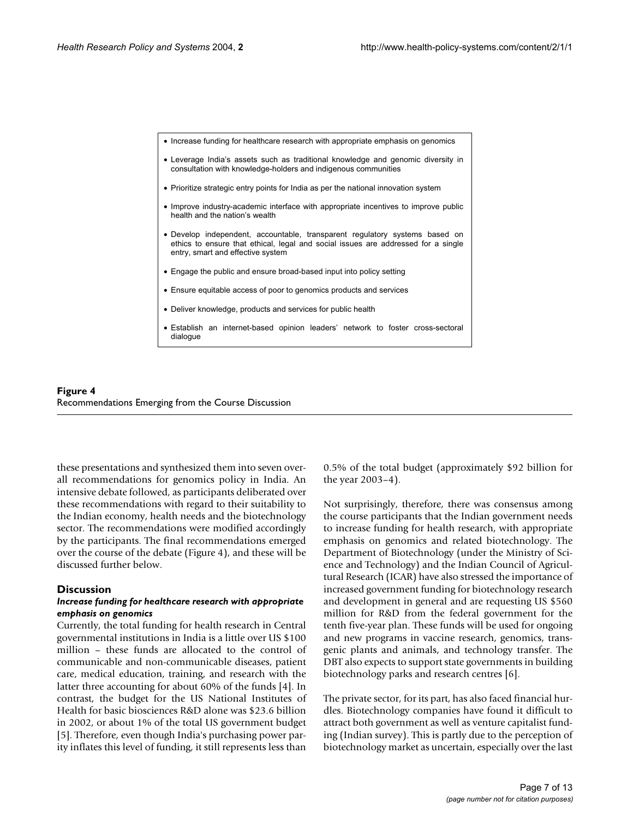- Increase funding for healthcare research with appropriate emphasis on genomics
- Leverage India's assets such as traditional knowledge and genomic diversity in consultation with knowledge-holders and indigenous communities
- Prioritize strategic entry points for India as per the national innovation system
- Improve industry-academic interface with appropriate incentives to improve public health and the nation's wealth
- Develop independent, accountable, transparent regulatory systems based on ethics to ensure that ethical, legal and social issues are addressed for a single entry, smart and effective system
- Engage the public and ensure broad-based input into policy setting
- Ensure equitable access of poor to genomics products and services
- Deliver knowledge, products and services for public health
- Establish an internet-based opinion leaders' network to foster cross-sectoral dialogue

**Figure 4** Recommendations Emerging from the Course Discussion

these presentations and synthesized them into seven overall recommendations for genomics policy in India. An intensive debate followed, as participants deliberated over these recommendations with regard to their suitability to the Indian economy, health needs and the biotechnology sector. The recommendations were modified accordingly by the participants. The final recommendations emerged over the course of the debate (Figure 4), and these will be discussed further below.

#### **Discussion**

#### *Increase funding for healthcare research with appropriate emphasis on genomics*

Currently, the total funding for health research in Central governmental institutions in India is a little over US \$100 million – these funds are allocated to the control of communicable and non-communicable diseases, patient care, medical education, training, and research with the latter three accounting for about 60% of the funds [4]. In contrast, the budget for the US National Institutes of Health for basic biosciences R&D alone was \$23.6 billion in 2002, or about 1% of the total US government budget [5]. Therefore, even though India's purchasing power parity inflates this level of funding, it still represents less than 0.5% of the total budget (approximately \$92 billion for the year 2003–4).

Not surprisingly, therefore, there was consensus among the course participants that the Indian government needs to increase funding for health research, with appropriate emphasis on genomics and related biotechnology. The Department of Biotechnology (under the Ministry of Science and Technology) and the Indian Council of Agricultural Research (ICAR) have also stressed the importance of increased government funding for biotechnology research and development in general and are requesting US \$560 million for R&D from the federal government for the tenth five-year plan. These funds will be used for ongoing and new programs in vaccine research, genomics, transgenic plants and animals, and technology transfer. The DBT also expects to support state governments in building biotechnology parks and research centres [6].

The private sector, for its part, has also faced financial hurdles. Biotechnology companies have found it difficult to attract both government as well as venture capitalist funding (Indian survey). This is partly due to the perception of biotechnology market as uncertain, especially over the last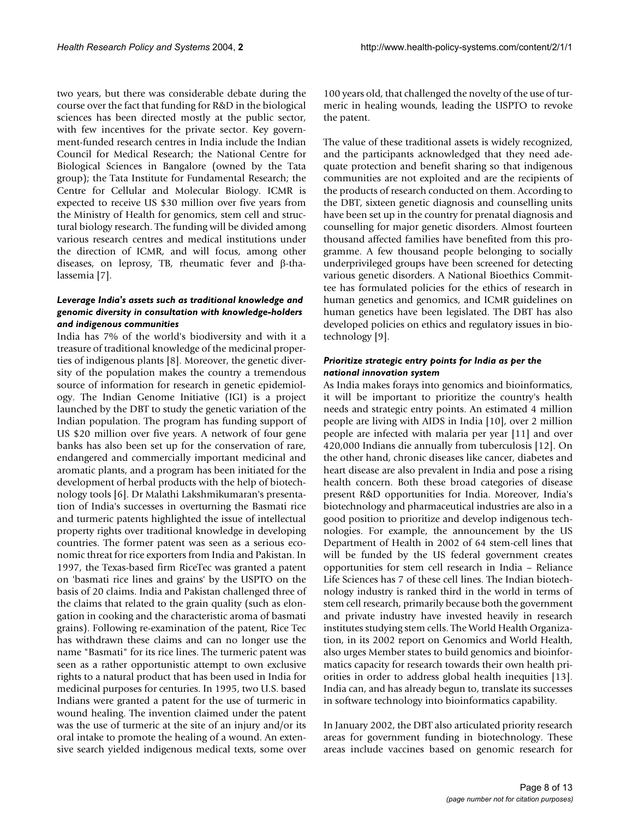two years, but there was considerable debate during the course over the fact that funding for R&D in the biological sciences has been directed mostly at the public sector, with few incentives for the private sector. Key government-funded research centres in India include the Indian Council for Medical Research; the National Centre for Biological Sciences in Bangalore (owned by the Tata group); the Tata Institute for Fundamental Research; the Centre for Cellular and Molecular Biology. ICMR is expected to receive US \$30 million over five years from the Ministry of Health for genomics, stem cell and structural biology research. The funding will be divided among various research centres and medical institutions under the direction of ICMR, and will focus, among other diseases, on leprosy, TB, rheumatic fever and β-thalassemia [7].

## *Leverage India's assets such as traditional knowledge and genomic diversity in consultation with knowledge-holders and indigenous communities*

India has 7% of the world's biodiversity and with it a treasure of traditional knowledge of the medicinal properties of indigenous plants [8]. Moreover, the genetic diversity of the population makes the country a tremendous source of information for research in genetic epidemiology. The Indian Genome Initiative (IGI) is a project launched by the DBT to study the genetic variation of the Indian population. The program has funding support of US \$20 million over five years. A network of four gene banks has also been set up for the conservation of rare, endangered and commercially important medicinal and aromatic plants, and a program has been initiated for the development of herbal products with the help of biotechnology tools [6]. Dr Malathi Lakshmikumaran's presentation of India's successes in overturning the Basmati rice and turmeric patents highlighted the issue of intellectual property rights over traditional knowledge in developing countries. The former patent was seen as a serious economic threat for rice exporters from India and Pakistan. In 1997, the Texas-based firm RiceTec was granted a patent on 'basmati rice lines and grains' by the USPTO on the basis of 20 claims. India and Pakistan challenged three of the claims that related to the grain quality (such as elongation in cooking and the characteristic aroma of basmati grains). Following re-examination of the patent, Rice Tec has withdrawn these claims and can no longer use the name "Basmati" for its rice lines. The turmeric patent was seen as a rather opportunistic attempt to own exclusive rights to a natural product that has been used in India for medicinal purposes for centuries. In 1995, two U.S. based Indians were granted a patent for the use of turmeric in wound healing. The invention claimed under the patent was the use of turmeric at the site of an injury and/or its oral intake to promote the healing of a wound. An extensive search yielded indigenous medical texts, some over 100 years old, that challenged the novelty of the use of turmeric in healing wounds, leading the USPTO to revoke the patent.

The value of these traditional assets is widely recognized, and the participants acknowledged that they need adequate protection and benefit sharing so that indigenous communities are not exploited and are the recipients of the products of research conducted on them. According to the DBT, sixteen genetic diagnosis and counselling units have been set up in the country for prenatal diagnosis and counselling for major genetic disorders. Almost fourteen thousand affected families have benefited from this programme. A few thousand people belonging to socially underprivileged groups have been screened for detecting various genetic disorders. A National Bioethics Committee has formulated policies for the ethics of research in human genetics and genomics, and ICMR guidelines on human genetics have been legislated. The DBT has also developed policies on ethics and regulatory issues in biotechnology [9].

## *Prioritize strategic entry points for India as per the national innovation system*

As India makes forays into genomics and bioinformatics, it will be important to prioritize the country's health needs and strategic entry points. An estimated 4 million people are living with AIDS in India [10], over 2 million people are infected with malaria per year [11] and over 420,000 Indians die annually from tuberculosis [12]. On the other hand, chronic diseases like cancer, diabetes and heart disease are also prevalent in India and pose a rising health concern. Both these broad categories of disease present R&D opportunities for India. Moreover, India's biotechnology and pharmaceutical industries are also in a good position to prioritize and develop indigenous technologies. For example, the announcement by the US Department of Health in 2002 of 64 stem-cell lines that will be funded by the US federal government creates opportunities for stem cell research in India – Reliance Life Sciences has 7 of these cell lines. The Indian biotechnology industry is ranked third in the world in terms of stem cell research, primarily because both the government and private industry have invested heavily in research institutes studying stem cells. The World Health Organization, in its 2002 report on Genomics and World Health, also urges Member states to build genomics and bioinformatics capacity for research towards their own health priorities in order to address global health inequities [13]. India can, and has already begun to, translate its successes in software technology into bioinformatics capability.

In January 2002, the DBT also articulated priority research areas for government funding in biotechnology. These areas include vaccines based on genomic research for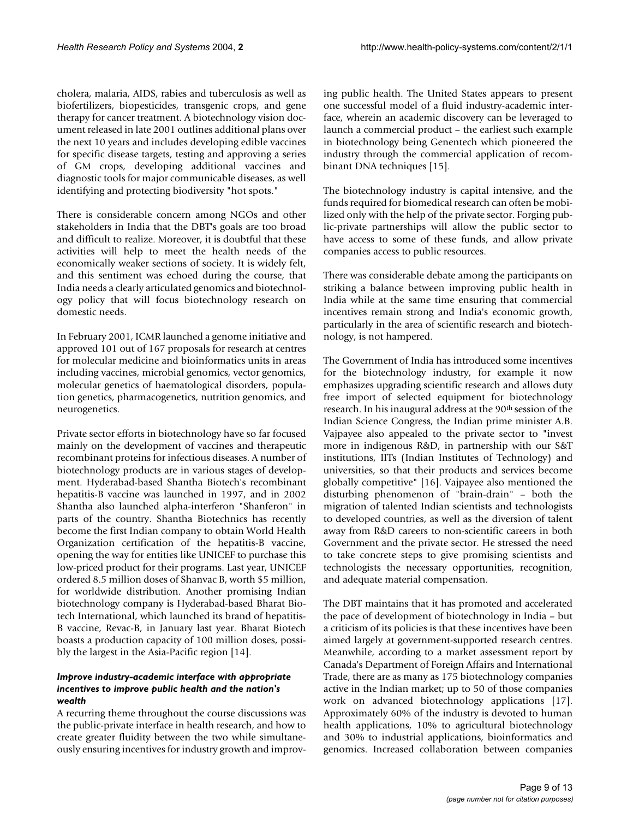cholera, malaria, AIDS, rabies and tuberculosis as well as biofertilizers, biopesticides, transgenic crops, and gene therapy for cancer treatment. A biotechnology vision document released in late 2001 outlines additional plans over the next 10 years and includes developing edible vaccines for specific disease targets, testing and approving a series of GM crops, developing additional vaccines and diagnostic tools for major communicable diseases, as well identifying and protecting biodiversity "hot spots."

There is considerable concern among NGOs and other stakeholders in India that the DBT's goals are too broad and difficult to realize. Moreover, it is doubtful that these activities will help to meet the health needs of the economically weaker sections of society. It is widely felt, and this sentiment was echoed during the course, that India needs a clearly articulated genomics and biotechnology policy that will focus biotechnology research on domestic needs.

In February 2001, ICMR launched a genome initiative and approved 101 out of 167 proposals for research at centres for molecular medicine and bioinformatics units in areas including vaccines, microbial genomics, vector genomics, molecular genetics of haematological disorders, population genetics, pharmacogenetics, nutrition genomics, and neurogenetics.

Private sector efforts in biotechnology have so far focused mainly on the development of vaccines and therapeutic recombinant proteins for infectious diseases. A number of biotechnology products are in various stages of development. Hyderabad-based Shantha Biotech's recombinant hepatitis-B vaccine was launched in 1997, and in 2002 Shantha also launched alpha-interferon "Shanferon" in parts of the country. Shantha Biotechnics has recently become the first Indian company to obtain World Health Organization certification of the hepatitis-B vaccine, opening the way for entities like UNICEF to purchase this low-priced product for their programs. Last year, UNICEF ordered 8.5 million doses of Shanvac B, worth \$5 million, for worldwide distribution. Another promising Indian biotechnology company is Hyderabad-based Bharat Biotech International, which launched its brand of hepatitis-B vaccine, Revac-B, in January last year. Bharat Biotech boasts a production capacity of 100 million doses, possibly the largest in the Asia-Pacific region [14].

## *Improve industry-academic interface with appropriate incentives to improve public health and the nation's wealth*

A recurring theme throughout the course discussions was the public-private interface in health research, and how to create greater fluidity between the two while simultaneously ensuring incentives for industry growth and improving public health. The United States appears to present one successful model of a fluid industry-academic interface, wherein an academic discovery can be leveraged to launch a commercial product – the earliest such example in biotechnology being Genentech which pioneered the industry through the commercial application of recombinant DNA techniques [15].

The biotechnology industry is capital intensive, and the funds required for biomedical research can often be mobilized only with the help of the private sector. Forging public-private partnerships will allow the public sector to have access to some of these funds, and allow private companies access to public resources.

There was considerable debate among the participants on striking a balance between improving public health in India while at the same time ensuring that commercial incentives remain strong and India's economic growth, particularly in the area of scientific research and biotechnology, is not hampered.

The Government of India has introduced some incentives for the biotechnology industry, for example it now emphasizes upgrading scientific research and allows duty free import of selected equipment for biotechnology research. In his inaugural address at the 90<sup>th</sup> session of the Indian Science Congress, the Indian prime minister A.B. Vajpayee also appealed to the private sector to "invest more in indigenous R&D, in partnership with our S&T institutions, IITs (Indian Institutes of Technology) and universities, so that their products and services become globally competitive" [16]. Vajpayee also mentioned the disturbing phenomenon of "brain-drain" – both the migration of talented Indian scientists and technologists to developed countries, as well as the diversion of talent away from R&D careers to non-scientific careers in both Government and the private sector. He stressed the need to take concrete steps to give promising scientists and technologists the necessary opportunities, recognition, and adequate material compensation.

The DBT maintains that it has promoted and accelerated the pace of development of biotechnology in India – but a criticism of its policies is that these incentives have been aimed largely at government-supported research centres. Meanwhile, according to a market assessment report by Canada's Department of Foreign Affairs and International Trade, there are as many as 175 biotechnology companies active in the Indian market; up to 50 of those companies work on advanced biotechnology applications [17]. Approximately 60% of the industry is devoted to human health applications, 10% to agricultural biotechnology and 30% to industrial applications, bioinformatics and genomics. Increased collaboration between companies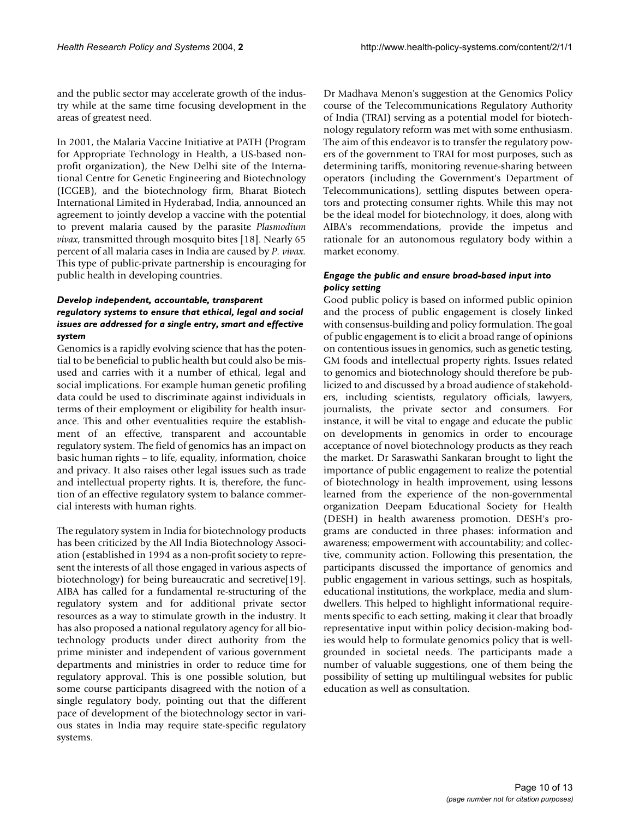and the public sector may accelerate growth of the industry while at the same time focusing development in the areas of greatest need.

In 2001, the Malaria Vaccine Initiative at PATH (Program for Appropriate Technology in Health, a US-based nonprofit organization), the New Delhi site of the International Centre for Genetic Engineering and Biotechnology (ICGEB), and the biotechnology firm, Bharat Biotech International Limited in Hyderabad, India, announced an agreement to jointly develop a vaccine with the potential to prevent malaria caused by the parasite *Plasmodium vivax*, transmitted through mosquito bites [18]. Nearly 65 percent of all malaria cases in India are caused by *P. vivax.* This type of public-private partnership is encouraging for public health in developing countries.

## *Develop independent, accountable, transparent regulatory systems to ensure that ethical, legal and social issues are addressed for a single entry, smart and effective system*

Genomics is a rapidly evolving science that has the potential to be beneficial to public health but could also be misused and carries with it a number of ethical, legal and social implications. For example human genetic profiling data could be used to discriminate against individuals in terms of their employment or eligibility for health insurance. This and other eventualities require the establishment of an effective, transparent and accountable regulatory system. The field of genomics has an impact on basic human rights – to life, equality, information, choice and privacy. It also raises other legal issues such as trade and intellectual property rights. It is, therefore, the function of an effective regulatory system to balance commercial interests with human rights.

The regulatory system in India for biotechnology products has been criticized by the All India Biotechnology Association (established in 1994 as a non-profit society to represent the interests of all those engaged in various aspects of biotechnology) for being bureaucratic and secretive[19]. AIBA has called for a fundamental re-structuring of the regulatory system and for additional private sector resources as a way to stimulate growth in the industry. It has also proposed a national regulatory agency for all biotechnology products under direct authority from the prime minister and independent of various government departments and ministries in order to reduce time for regulatory approval. This is one possible solution, but some course participants disagreed with the notion of a single regulatory body, pointing out that the different pace of development of the biotechnology sector in various states in India may require state-specific regulatory systems.

Dr Madhava Menon's suggestion at the Genomics Policy course of the Telecommunications Regulatory Authority of India (TRAI) serving as a potential model for biotechnology regulatory reform was met with some enthusiasm. The aim of this endeavor is to transfer the regulatory powers of the government to TRAI for most purposes, such as determining tariffs, monitoring revenue-sharing between operators (including the Government's Department of Telecommunications), settling disputes between operators and protecting consumer rights. While this may not be the ideal model for biotechnology, it does, along with AIBA's recommendations, provide the impetus and rationale for an autonomous regulatory body within a market economy.

## *Engage the public and ensure broad-based input into policy setting*

Good public policy is based on informed public opinion and the process of public engagement is closely linked with consensus-building and policy formulation. The goal of public engagement is to elicit a broad range of opinions on contentious issues in genomics, such as genetic testing, GM foods and intellectual property rights. Issues related to genomics and biotechnology should therefore be publicized to and discussed by a broad audience of stakeholders, including scientists, regulatory officials, lawyers, journalists, the private sector and consumers. For instance, it will be vital to engage and educate the public on developments in genomics in order to encourage acceptance of novel biotechnology products as they reach the market. Dr Saraswathi Sankaran brought to light the importance of public engagement to realize the potential of biotechnology in health improvement, using lessons learned from the experience of the non-governmental organization Deepam Educational Society for Health (DESH) in health awareness promotion. DESH's programs are conducted in three phases: information and awareness; empowerment with accountability; and collective, community action. Following this presentation, the participants discussed the importance of genomics and public engagement in various settings, such as hospitals, educational institutions, the workplace, media and slumdwellers. This helped to highlight informational requirements specific to each setting, making it clear that broadly representative input within policy decision-making bodies would help to formulate genomics policy that is wellgrounded in societal needs. The participants made a number of valuable suggestions, one of them being the possibility of setting up multilingual websites for public education as well as consultation.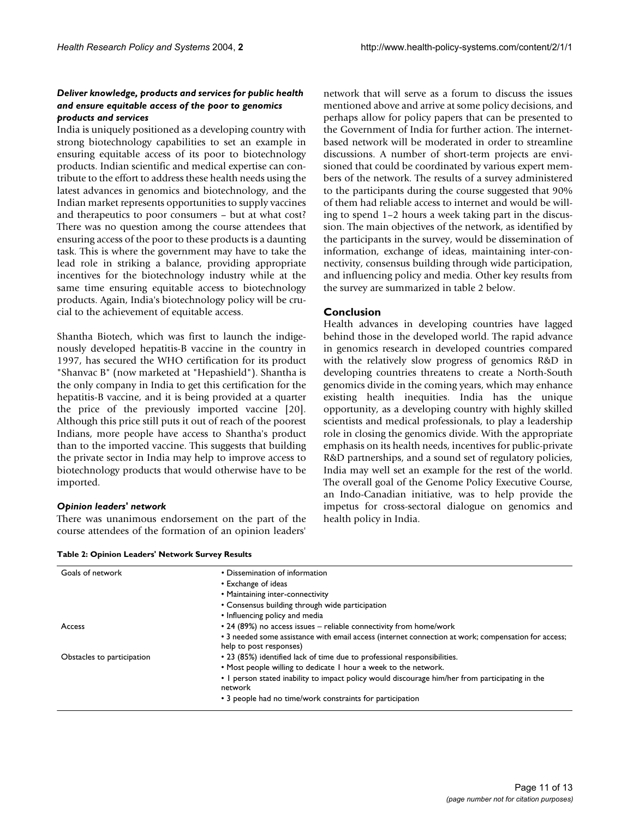## *Deliver knowledge, products and services for public health and ensure equitable access of the poor to genomics products and services*

India is uniquely positioned as a developing country with strong biotechnology capabilities to set an example in ensuring equitable access of its poor to biotechnology products. Indian scientific and medical expertise can contribute to the effort to address these health needs using the latest advances in genomics and biotechnology, and the Indian market represents opportunities to supply vaccines and therapeutics to poor consumers – but at what cost? There was no question among the course attendees that ensuring access of the poor to these products is a daunting task. This is where the government may have to take the lead role in striking a balance, providing appropriate incentives for the biotechnology industry while at the same time ensuring equitable access to biotechnology products. Again, India's biotechnology policy will be crucial to the achievement of equitable access.

Shantha Biotech, which was first to launch the indigenously developed hepatitis-B vaccine in the country in 1997, has secured the WHO certification for its product "Shanvac B" (now marketed at "Hepashield"). Shantha is the only company in India to get this certification for the hepatitis-B vaccine, and it is being provided at a quarter the price of the previously imported vaccine [20]. Although this price still puts it out of reach of the poorest Indians, more people have access to Shantha's product than to the imported vaccine. This suggests that building the private sector in India may help to improve access to biotechnology products that would otherwise have to be imported.

#### *Opinion leaders' network*

There was unanimous endorsement on the part of the course attendees of the formation of an opinion leaders'

network that will serve as a forum to discuss the issues mentioned above and arrive at some policy decisions, and perhaps allow for policy papers that can be presented to the Government of India for further action. The internetbased network will be moderated in order to streamline discussions. A number of short-term projects are envisioned that could be coordinated by various expert members of the network. The results of a survey administered to the participants during the course suggested that 90% of them had reliable access to internet and would be willing to spend 1–2 hours a week taking part in the discussion. The main objectives of the network, as identified by the participants in the survey, would be dissemination of information, exchange of ideas, maintaining inter-connectivity, consensus building through wide participation, and influencing policy and media. Other key results from the survey are summarized in table [2](#page-10-0) below.

## **Conclusion**

Health advances in developing countries have lagged behind those in the developed world. The rapid advance in genomics research in developed countries compared with the relatively slow progress of genomics R&D in developing countries threatens to create a North-South genomics divide in the coming years, which may enhance existing health inequities. India has the unique opportunity, as a developing country with highly skilled scientists and medical professionals, to play a leadership role in closing the genomics divide. With the appropriate emphasis on its health needs, incentives for public-private R&D partnerships, and a sound set of regulatory policies, India may well set an example for the rest of the world. The overall goal of the Genome Policy Executive Course, an Indo-Canadian initiative, was to help provide the impetus for cross-sectoral dialogue on genomics and health policy in India.

| Goals of network           | • Dissemination of information                                                                                                 |
|----------------------------|--------------------------------------------------------------------------------------------------------------------------------|
|                            | • Exchange of ideas                                                                                                            |
|                            | • Maintaining inter-connectivity                                                                                               |
|                            | • Consensus building through wide participation                                                                                |
|                            | • Influencing policy and media                                                                                                 |
| Access                     | • 24 (89%) no access issues – reliable connectivity from home/work                                                             |
|                            | • 3 needed some assistance with email access (internet connection at work; compensation for access;<br>help to post responses) |
| Obstacles to participation | • 23 (85%) identified lack of time due to professional responsibilities.                                                       |
|                            | • Most people willing to dedicate I hour a week to the network.                                                                |
|                            | • I person stated inability to impact policy would discourage him/her from participating in the<br>network                     |
|                            | • 3 people had no time/work constraints for participation                                                                      |

<span id="page-10-0"></span>**Table 2: Opinion Leaders' Network Survey Results**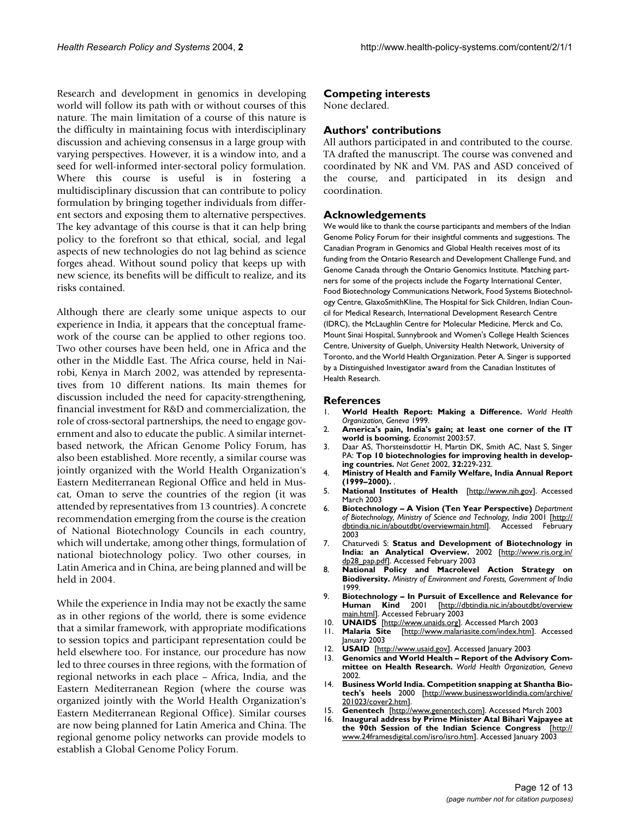Research and development in genomics in developing world will follow its path with or without courses of this nature. The main limitation of a course of this nature is the difficulty in maintaining focus with interdisciplinary discussion and achieving consensus in a large group with varying perspectives. However, it is a window into, and a seed for well-informed inter-sectoral policy formulation. Where this course is useful is in fostering a multidisciplinary discussion that can contribute to policy formulation by bringing together individuals from different sectors and exposing them to alternative perspectives. The key advantage of this course is that it can help bring policy to the forefront so that ethical, social, and legal aspects of new technologies do not lag behind as science forges ahead. Without sound policy that keeps up with new science, its benefits will be difficult to realize, and its risks contained.

Although there are clearly some unique aspects to our experience in India, it appears that the conceptual framework of the course can be applied to other regions too. Two other courses have been held, one in Africa and the other in the Middle East. The Africa course, held in Nairobi, Kenya in March 2002, was attended by representatives from 10 different nations. Its main themes for discussion included the need for capacity-strengthening, financial investment for R&D and commercialization, the role of cross-sectoral partnerships, the need to engage government and also to educate the public. A similar internetbased network, the African Genome Policy Forum, has also been established. More recently, a similar course was jointly organized with the World Health Organization's Eastern Mediterranean Regional Office and held in Muscat, Oman to serve the countries of the region (it was attended by representatives from 13 countries). A concrete recommendation emerging from the course is the creation of National Biotechnology Councils in each country, which will undertake, among other things, formulation of national biotechnology policy. Two other courses, in Latin America and in China, are being planned and will be held in 2004.

While the experience in India may not be exactly the same as in other regions of the world, there is some evidence that a similar framework, with appropriate modifications to session topics and participant representation could be held elsewhere too. For instance, our procedure has now led to three courses in three regions, with the formation of regional networks in each place – Africa, India, and the Eastern Mediterranean Region (where the course was organized jointly with the World Health Organization's Eastern Mediterranean Regional Office). Similar courses are now being planned for Latin America and China. The regional genome policy networks can provide models to establish a Global Genome Policy Forum.

#### **Competing interests**

None declared.

#### **Authors' contributions**

All authors participated in and contributed to the course. TA drafted the manuscript. The course was convened and coordinated by NK and VM. PAS and ASD conceived of the course, and participated in its design and coordination.

#### **Acknowledgements**

We would like to thank the course participants and members of the Indian Genome Policy Forum for their insightful comments and suggestions. The Canadian Program in Genomics and Global Health receives most of its funding from the Ontario Research and Development Challenge Fund, and Genome Canada through the Ontario Genomics Institute. Matching partners for some of the projects include the Fogarty International Center, Food Biotechnology Communications Network, Food Systems Biotechnology Centre, GlaxoSmithKline, The Hospital for Sick Children, Indian Council for Medical Research, International Development Research Centre (IDRC), the McLaughlin Centre for Molecular Medicine, Merck and Co, Mount Sinai Hospital, Sunnybrook and Women's College Health Sciences Centre, University of Guelph, University Health Network, University of Toronto, and the World Health Organization. Peter A. Singer is supported by a Distinguished Investigator award from the Canadian Institutes of Health Research.

#### **References**

- 1. **World Health Report: Making a Difference.** *World Health Organization, Geneva* 1999.
- <span id="page-11-0"></span>2. **[America's pain, India's gain; at least one corner of the IT](http://www.ncbi.nlm.nih.gov/entrez/query.fcgi?cmd=Retrieve&db=PubMed&dopt=Abstract&list_uids=14526814) [world is booming.](http://www.ncbi.nlm.nih.gov/entrez/query.fcgi?cmd=Retrieve&db=PubMed&dopt=Abstract&list_uids=14526814)** *Economist* 2003:57.
- 3. Daar AS, Thorsteinsdottir H, Martin DK, Smith AC, Nast S, Singer PA: **[Top 10 biotechnologies for improving health in develop](http://www.ncbi.nlm.nih.gov/entrez/query.fcgi?cmd=Retrieve&db=PubMed&dopt=Abstract&list_uids=10.1038/ng1002-229)[ing countries](http://www.ncbi.nlm.nih.gov/entrez/query.fcgi?cmd=Retrieve&db=PubMed&dopt=Abstract&list_uids=10.1038/ng1002-229)[.](http://www.ncbi.nlm.nih.gov/entrez/query.fcgi?cmd=Retrieve&db=PubMed&dopt=Abstract&list_uids=12355081)** *Nat Genet* 2002, **32:**229-232.
- 4. **Ministry of Health and Family Welfare, India Annual Report (1999–2000).** .
- 5. **National Institutes of Health** [<http://www.nih.gov>]. Accessed March 2003
- 6. **Biotechnology A Vision (Ten Year Perspective)** *Department of Biotechnology, Ministry of Science and Technology, India* 2001 [\[http://](http://dbtindia.nic.in/aboutdbt/overviewmain.html) [dbtindia.nic.in/aboutdbt/overviewmain.html](http://dbtindia.nic.in/aboutdbt/overviewmain.html)]. Accessed February 2003
- 7. Chaturvedi S: **Status and Development of Biotechnology in India: an Analytical Overview.** 2002 [[http://www.ris.org.in/](http://www.ris.org.in/dp28_pap.pdf) [dp28\\_pap.pdf](http://www.ris.org.in/dp28_pap.pdf)]. Accessed February 2003
- 8. **National Policy and Macrolevel Action Strategy on Biodiversity.** *Ministry of Environment and Forests, Government of India* 1999.
- 9. **Biotechnology In Pursuit of Excellence and Relevance for Human Kind** 2001 [[http://dbtindia.nic.in/aboutdbt/overview](http://dbtindia.nic.in/aboutdbt/overviewmain.html) [main.html\]](http://dbtindia.nic.in/aboutdbt/overviewmain.html). Accessed February 2003
- 
- 10. **UNAIDS** [<http://www.unaids.org>]. Accessed March 2003<br>11. **Malaria Site** [http://www.malariasite.com/index.htm]. [\[http://www.malariasite.com/index.htm](http://www.malariasite.com/index.htm)]. Accessed January 2003
- 12. **USAID** [[http://www.usaid.gov\]](http://www.usaid.gov). Accessed January 2003<br>13. **Genomics and World Health Report of the Advi**
- Genomics and World Health Report of the Advisory Com**mittee on Health Research.** *World Health Organization, Geneva* 2002.
- 14. **Business World India. Competition snapping at Shantha Biotech's heels** 2000 [[http://www.businessworldindia.com/archive/](http://www.businessworldindia.com/archive/201023/cover2.htm) [201023/cover2.htm](http://www.businessworldindia.com/archive/201023/cover2.htm)].
- 15. **Genentech** [\[http://www.genentech.com\]](http://www.genentech.com). Accessed March 2003
- 16. **Inaugural address by Prime Minister Atal Bihari Vajpayee at the 90th Session of the Indian Science Congress** [\[http://](http://www.24framesdigital.com/isro/isro.htm) [www.24framesdigital.com/isro/isro.htm](http://www.24framesdigital.com/isro/isro.htm)]. Accessed January 2003